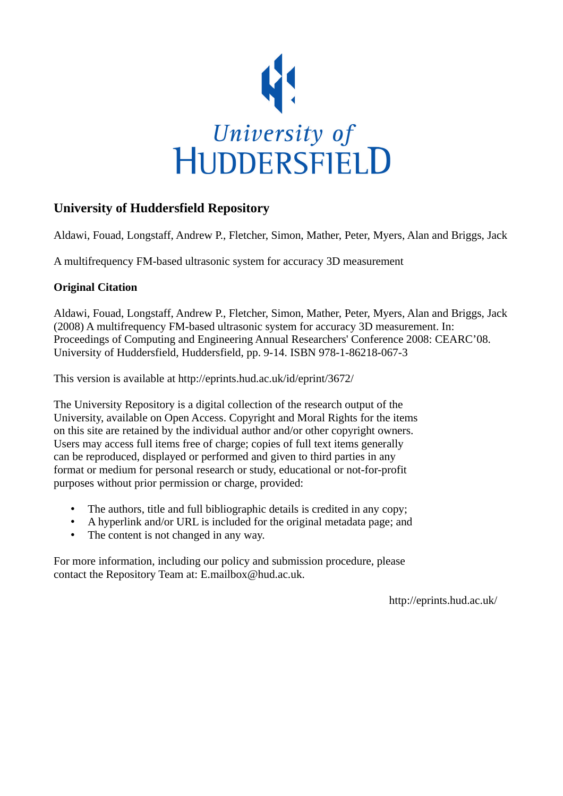

# **University of Huddersfield Repository**

Aldawi, Fouad, Longstaff, Andrew P., Fletcher, Simon, Mather, Peter, Myers, Alan and Briggs, Jack

A multifrequency FM-based ultrasonic system for accuracy 3D measurement

# **Original Citation**

Aldawi, Fouad, Longstaff, Andrew P., Fletcher, Simon, Mather, Peter, Myers, Alan and Briggs, Jack (2008) A multifrequency FM-based ultrasonic system for accuracy 3D measurement. In: Proceedings of Computing and Engineering Annual Researchers' Conference 2008: CEARC'08. University of Huddersfield, Huddersfield, pp. 9-14. ISBN 978-1-86218-067-3

This version is available at http://eprints.hud.ac.uk/id/eprint/3672/

The University Repository is a digital collection of the research output of the University, available on Open Access. Copyright and Moral Rights for the items on this site are retained by the individual author and/or other copyright owners. Users may access full items free of charge; copies of full text items generally can be reproduced, displayed or performed and given to third parties in any format or medium for personal research or study, educational or not-for-profit purposes without prior permission or charge, provided:

- The authors, title and full bibliographic details is credited in any copy;
- A hyperlink and/or URL is included for the original metadata page; and
- The content is not changed in any way.

For more information, including our policy and submission procedure, please contact the Repository Team at: E.mailbox@hud.ac.uk.

http://eprints.hud.ac.uk/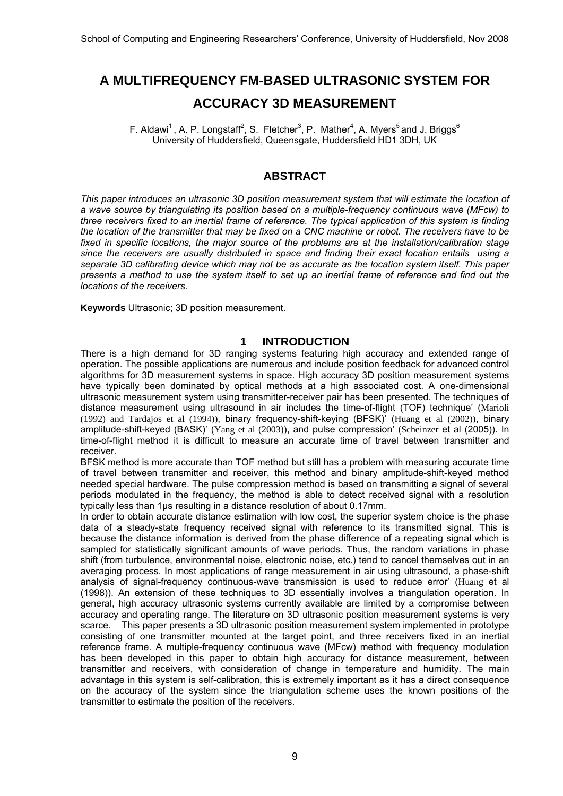# **A MULTIFREQUENCY FM-BASED ULTRASONIC SYSTEM FOR ACCURACY 3D MEASUREMENT**

F. Aldawi<sup>1</sup>, A. P. Longstaff<sup>2</sup>, S. Fletcher<sup>3</sup>, P. Mather<sup>4</sup>, A. Myers<sup>5</sup> and J. Briggs<sup>6</sup> University of Huddersfield, Queensgate, Huddersfield HD1 3DH, UK

# **ABSTRACT**

*This paper introduces an ultrasonic 3D position measurement system that will estimate the location of a wave source by triangulating its position based on a multiple-frequency continuous wave (MFcw) to three receivers fixed to an inertial frame of reference. The typical application of this system is finding the location of the transmitter that may be fixed on a CNC machine or robot. The receivers have to be fixed in specific locations, the major source of the problems are at the installation/calibration stage since the receivers are usually distributed in space and finding their exact location entails using a separate 3D calibrating device which may not be as accurate as the location system itself. This paper presents a method to use the system itself to set up an inertial frame of reference and find out the locations of the receivers.* 

**Keywords** Ultrasonic; 3D position measurement.

## **1 INTRODUCTION**

There is a high demand for 3D ranging systems featuring high accuracy and extended range of operation. The possible applications are numerous and include position feedback for advanced control algorithms for 3D measurement systems in space. High accuracy 3D position measurement systems have typically been dominated by optical methods at a high associated cost. A one-dimensional ultrasonic measurement system using transmitter-receiver pair has been presented. The techniques of distance measurement using ultrasound in air includes the time-of-flight (TOF) technique' (Marioli (1992) and Tardajos et al (1994)), binary frequency-shift-keying (BFSK)' (Huang et al (2002)), binary amplitude-shift-keyed (BASK)' (Yang et al (2003)), and pulse compression' (Scheinzer et al (2005)). In time-of-flight method it is difficult to measure an accurate time of travel between transmitter and receiver.

BFSK method is more accurate than TOF method but still has a problem with measuring accurate time of travel between transmitter and receiver, this method and binary amplitude-shift-keyed method needed special hardware. The pulse compression method is based on transmitting a signal of several periods modulated in the frequency, the method is able to detect received signal with a resolution typically less than 1μs resulting in a distance resolution of about 0.17mm.

In order to obtain accurate distance estimation with low cost, the superior system choice is the phase data of a steady-state frequency received signal with reference to its transmitted signal. This is because the distance information is derived from the phase difference of a repeating signal which is sampled for statistically significant amounts of wave periods. Thus, the random variations in phase shift (from turbulence, environmental noise, electronic noise, etc.) tend to cancel themselves out in an averaging process. In most applications of range measurement in air using ultrasound, a phase-shift analysis of signal-frequency continuous-wave transmission is used to reduce error' (Huang et al (1998)). An extension of these techniques to 3D essentially involves a triangulation operation. In general, high accuracy ultrasonic systems currently available are limited by a compromise between accuracy and operating range. The literature on 3D ultrasonic position measurement systems is very scarce. This paper presents a 3D ultrasonic position measurement system implemented in prototype consisting of one transmitter mounted at the target point, and three receivers fixed in an inertial reference frame. A multiple-frequency continuous wave (MFcw) method with frequency modulation has been developed in this paper to obtain high accuracy for distance measurement, between transmitter and receivers, with consideration of change in temperature and humidity. The main advantage in this system is self-calibration, this is extremely important as it has a direct consequence on the accuracy of the system since the triangulation scheme uses the known positions of the transmitter to estimate the position of the receivers.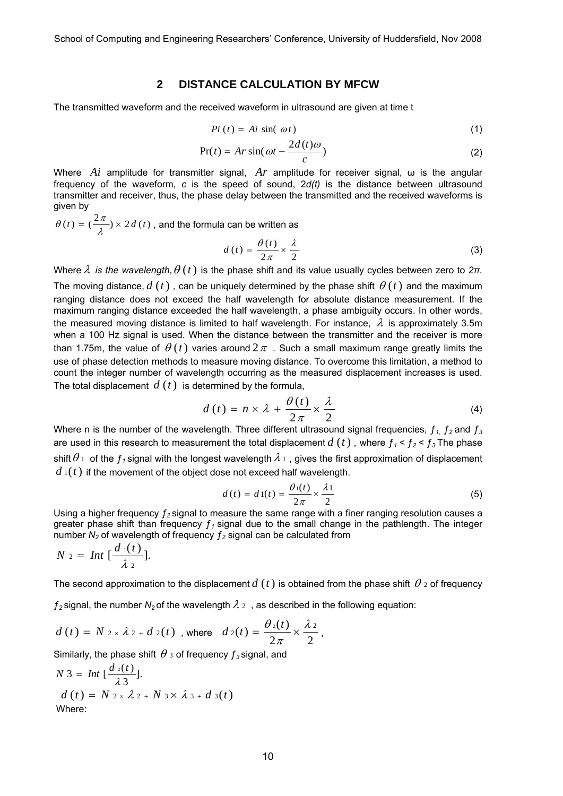## **2 DISTANCE CALCULATION BY MFCW**

The transmitted waveform and the received waveform in ultrasound are given at time t

$$
Pi(t) = Ai \sin(\omega t) \tag{1}
$$

$$
Pr(t) = Ar\sin(\omega t - \frac{2d(t)\omega}{c})
$$
\n(2)

Where *Ai* amplitude for transmitter signal, *Ar* amplitude for receiver signal, ω is the angular frequency of the waveform, *c* is the speed of sound, 2*d(t)* is the distance between ultrasound transmitter and receiver, thus, the phase delay between the transmitted and the received waveforms is given by

 $\theta(t) = (\frac{2\pi}{\lambda}) \times 2d(t)$ , and the formula can be written as

$$
d(t) = \frac{\theta(t)}{2\pi} \times \frac{\lambda}{2}
$$
 (3)

Where  $\lambda$  *is the wavelength,*  $\theta$  *(t)* is the phase shift and its value usually cycles between zero to  $2\pi$ . The moving distance,  $d(t)$ , can be uniquely determined by the phase shift  $\theta(t)$  and the maximum ranging distance does not exceed the half wavelength for absolute distance measurement. If the maximum ranging distance exceeded the half wavelength, a phase ambiguity occurs. In other words,

the measured moving distance is limited to half wavelength. For instance,  $\lambda$  is approximately 3.5m when a 100 Hz signal is used. When the distance between the transmitter and the receiver is more than 1.75m, the value of  $\theta(t)$  varies around  $2\pi$ . Such a small maximum range greatly limits the use of phase detection methods to measure moving distance. To overcome this limitation, a method to count the integer number of wavelength occurring as the measured displacement increases is used. The total displacement *d* (*t*) is determined by the formula,

$$
d(t) = n \times \lambda + \frac{\theta(t)}{2\pi} \times \frac{\lambda}{2}
$$
 (4)

Where n is the number of the wavelength. Three different ultrasound signal frequencies,  $f_1$ ,  $f_2$  and  $f_3$ are used in this research to measurement the total displacement  $d(t)$  , where  $f_1$ <  $f_2$ <  $f_3$  The phase shift $\theta$   $\scriptstyle{1}$  of the  $f$ <sub>1</sub> signal with the longest wavelength  $\lambda$   $\scriptstyle{1}$  , gives the first approximation of displacement  $d_1(t)$  if the movement of the object dose not exceed half wavelength.

$$
d(t) = d1(t) = \frac{\theta_1(t)}{2\pi} \times \frac{\lambda_1}{2}
$$
 (5)

Using a higher frequency  $f_2$  signal to measure the same range with a finer ranging resolution causes a greater phase shift than frequency  $f_1$  signal due to the small change in the pathlength. The integer number  $N_2$  of wavelength of frequency  $f_2$  signal can be calculated from

$$
N_2 = Int \left[ \frac{d_1(t)}{\lambda_2} \right].
$$

The second approximation to the displacement  $d(t)$  is obtained from the phase shift  $\theta$  2 of frequency

 $f_2$ signal, the number  $N_2$  of the wavelength  $\lambda$  2, as described in the following equation:

$$
d(t) = N_{2 \times \lambda_2 + d_2(t) \text{ , where } d_2(t) = \frac{\theta_2(t)}{2\pi} \times \frac{\lambda_2}{2},
$$

Similarly, the phase shift  $\theta_3$  of frequency  $f_3$  signal, and

$$
N 3 = Int \left[\frac{d_2(t)}{\lambda 3}\right].
$$
  
\n
$$
d(t) = N 2 \times \lambda 2 + N 3 \times \lambda 3 + d 3(t)
$$
  
\nWhere: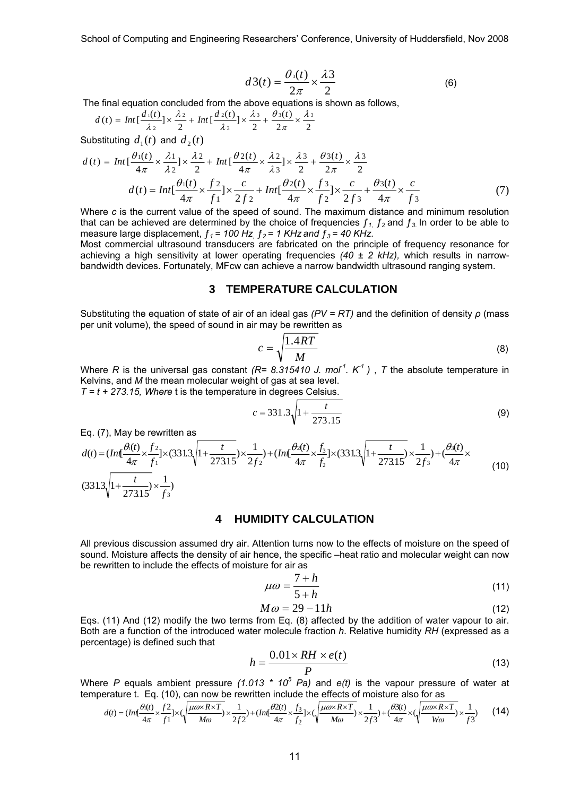School of Computing and Engineering Researchers' Conference, University of Huddersfield, Nov 2008

$$
d3(t) = \frac{\theta_3(t)}{2\pi} \times \frac{\lambda 3}{2}
$$
 (6)

The final equation concluded from the above equations is shown as follows,

$$
d(t) = Int\left[\frac{d_1(t)}{\lambda_2}\right] \times \frac{\lambda_2}{2} + Int\left[\frac{d_2(t)}{\lambda_3}\right] \times \frac{\lambda_3}{2} + \frac{\theta_3(t)}{2\pi} \times \frac{\lambda_3}{2}
$$

Substituting  $d_1(t)$  and  $d_2(t)$ 

$$
d(t) = Int \left[ \frac{\theta_1(t)}{4\pi} \times \frac{\lambda_1}{\lambda_2} \right] \times \frac{\lambda_2}{2} + Int \left[ \frac{\theta_2(t)}{4\pi} \times \frac{\lambda_2}{\lambda_3} \right] \times \frac{\lambda_3}{2} + \frac{\theta_3(t)}{2\pi} \times \frac{\lambda_3}{2}
$$
  

$$
d(t) = Int \left[ \frac{\theta_1(t)}{4\pi} \times \frac{f^2}{f^1} \right] \times \frac{c}{2f^2} + Int \left[ \frac{\theta_2(t)}{4\pi} \times \frac{f^3}{f^2} \right] \times \frac{c}{2f^3} + \frac{\theta_3(t)}{4\pi} \times \frac{c}{f^3}
$$
(7)

Where *c* is the current value of the speed of sound. The maximum distance and minimum resolution that can be achieved are determined by the choice of frequencies  $f_1$ ,  $f_2$  and  $f_3$ . In order to be able to measure large displacement,  $f_1 = 100$  Hz,  $f_2 = 1$  KHz and  $f_3 = 40$  KHz.

Most commercial ultrasound transducers are fabricated on the principle of frequency resonance for achieving a high sensitivity at lower operating frequencies *(40 ± 2 kHz),* which results in narrowbandwidth devices. Fortunately, MFcw can achieve a narrow bandwidth ultrasound ranging system.

# **3 TEMPERATURE CALCULATION**

Substituting the equation of state of air of an ideal gas *(PV = RT)* and the definition of density *ρ* (mass per unit volume), the speed of sound in air may be rewritten as

$$
c = \sqrt{\frac{1.4RT}{M}}
$$
 (8)

Where *R* is the universal gas constant *(R= 8.315410 J. mol<sup>1</sup>. K<sup>-1</sup>)*, *T* the absolute temperature in Kelvins, and *M* the mean molecular weight of gas at sea level. *T = t + 273.15, Where* t is the temperature in degrees Celsius.

$$
c = 331.3 \sqrt{1 + \frac{t}{273.15}}
$$
 (9)

Eq. (7), May be rewritten as

$$
d(t) = (Int\frac{\theta(t)}{4\pi} \times \frac{f_2}{f_1}] \times (331.3\sqrt{1 + \frac{t}{273.15}}) \times \frac{1}{2f_2}) + (Int\frac{\theta_2(t)}{4\pi} \times \frac{f_3}{f_2}] \times (331.3\sqrt{1 + \frac{t}{273.15}}) \times \frac{1}{2f_3}) + (\frac{\theta_3(t)}{4\pi} \times \frac{1}{273.15}) \times \frac{1}{2f_3}
$$
(10)

#### **4 HUMIDITY CALCULATION**

All previous discussion assumed dry air. Attention turns now to the effects of moisture on the speed of sound. Moisture affects the density of air hence, the specific –heat ratio and molecular weight can now be rewritten to include the effects of moisture for air as

$$
\mu \omega = \frac{7 + h}{5 + h} \tag{11}
$$

$$
M\omega = 29 - 11h\tag{12}
$$

Eqs. (11) And (12) modify the two terms from Eq. (8) affected by the addition of water vapour to air. Both are a function of the introduced water molecule fraction *h*. Relative humidity *RH* (expressed as a percentage) is defined such that

$$
h = \frac{0.01 \times RH \times e(t)}{P}
$$
 (13)

Where P equals ambient pressure (1.013  $*$  10<sup>5</sup> Pa) and e(t) is the vapour pressure of water at temperature t. Eq. (10), can now be rewritten include the effects of moisture also for as

$$
d(t) = (Int\frac{\theta_1(t)}{4\pi} \times \frac{f^2}{f^1}] \times (\sqrt{\frac{\mu\omega \times R \times T}{M\omega}}) \times \frac{1}{2f^2}) + (Int\frac{\theta 2(t)}{4\pi} \times \frac{f_3}{f_2}] \times (\sqrt{\frac{\mu\omega \times R \times T}{M\omega}}) \times \frac{1}{2f^3}) + (\frac{\theta 3(t)}{4\pi} \times (\sqrt{\frac{\mu\omega \times R \times T}{W\omega}}) \times \frac{1}{f^3})
$$
(14)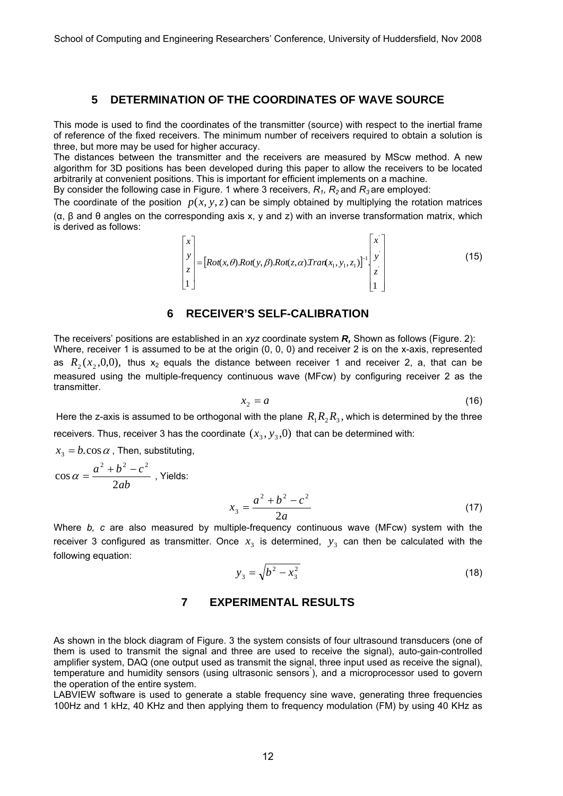# **5 DETERMINATION OF THE COORDINATES OF WAVE SOURCE**

This mode is used to find the coordinates of the transmitter (source) with respect to the inertial frame of reference of the fixed receivers. The minimum number of receivers required to obtain a solution is three, but more may be used for higher accuracy.

The distances between the transmitter and the receivers are measured by MScw method. A new algorithm for 3D positions has been developed during this paper to allow the receivers to be located arbitrarily at convenient positions. This is important for efficient implements on a machine.

By consider the following case in Figure. 1 where 3 receivers,  $R_1$ ,  $R_2$  and  $R_3$  are employed:

The coordinate of the position  $p(x, y, z)$  can be simply obtained by multiplying the rotation matrices (α, β and θ angles on the corresponding axis x, y and z) with an inverse transformation matrix, which is derived as follows:

> $| Rot(x, \theta)Rot(y, \beta)Rot(z, \alpha)Tran(x_1, y_1, z_1)|$  $\overline{\phantom{a}}$  $\overline{\phantom{a}}$  $\overline{\phantom{a}}$  $\overline{\phantom{a}}$  $\overline{\phantom{a}}$  $\overline{\phantom{a}}$  $\overline{\phantom{a}}$  $\mathsf I$  $\mathsf I$  $\mathsf I$  $\mathsf I$  $\mathsf I$ ⎣  $\mathsf I$ = ⎥ ⎥ ⎥  $\overline{\phantom{a}}$  $\overline{\phantom{a}}$ ⎤  $\mathsf I$  $\mathsf I$  $\mathsf I$  $\mathsf I$ ⎣  $\mathsf I$ − 1  $\mathcal{A}(x,\theta)$ . $Rot(y,\beta)$ . $Rot(z,\alpha)$ . $Tran(x_1, y_1, z_1)^{-1}$ . 1 ' '  $[x_1, y_1, z_1]^{-1}$ *y x*  $\begin{bmatrix} \mathcal{I}_z \\ \mathcal{I}_z \end{bmatrix} = [Rot(x, \theta).Rot(y, \beta).Rot(z, \alpha) Tran(x_1, y_1, z_2)]$ *y x*  $\theta$ ). $Rot(y, \beta)$ . $Rot(z, \alpha)$ . $Tran(x_1, y_1, z_1)^{-1}$   $\begin{bmatrix} y \\ y \end{bmatrix}$  (15)

#### **6 RECEIVER'S SELF-CALIBRATION**

The receivers' positions are established in an *xyz* coordinate system *R,* Shown as follows (Figure. 2): Where, receiver 1 is assumed to be at the origin (0, 0, 0) and receiver 2 is on the x-axis, represented as  $R_2(x_2,0,0)$ , thus  $x_2$  equals the distance between receiver 1 and receiver 2, a, that can be measured using the multiple-frequency continuous wave (MFcw) by configuring receiver 2 as the transmitter.

$$
x_2 = a \tag{16}
$$

Here the z-axis is assumed to be orthogonal with the plane  $R_1R_2R_3$ , which is determined by the three receivers. Thus, receiver 3 has the coordinate  $(x_3, y_3, 0)$  that can be determined with:

 $x_3 = b \cdot \cos \alpha$ , Then, substituting,

$$
\cos \alpha = \frac{a^2 + b^2 - c^2}{2ab}
$$
, Yields:  

$$
x_3 = \frac{a^2 + b^2 - c^2}{2a}
$$
 (17)

Where *b, c* are also measured by multiple-frequency continuous wave (MFcw) system with the receiver 3 configured as transmitter. Once  $x_3$  is determined,  $y_3$  can then be calculated with the following equation:

$$
y_3 = \sqrt{b^2 - x_3^2} \tag{18}
$$

## **7 EXPERIMENTAL RESULTS**

As shown in the block diagram of Figure. 3 the system consists of four ultrasound transducers (one of them is used to transmit the signal and three are used to receive the signal), auto-gain-controlled amplifier system, DAQ (one output used as transmit the signal, three input used as receive the signal), temperature and humidity sensors (using ultrasonic sensors° ), and a microprocessor used to govern the operation of the entire system.

LABVIEW software is used to generate a stable frequency sine wave, generating three frequencies 100Hz and 1 kHz, 40 KHz and then applying them to frequency modulation (FM) by using 40 KHz as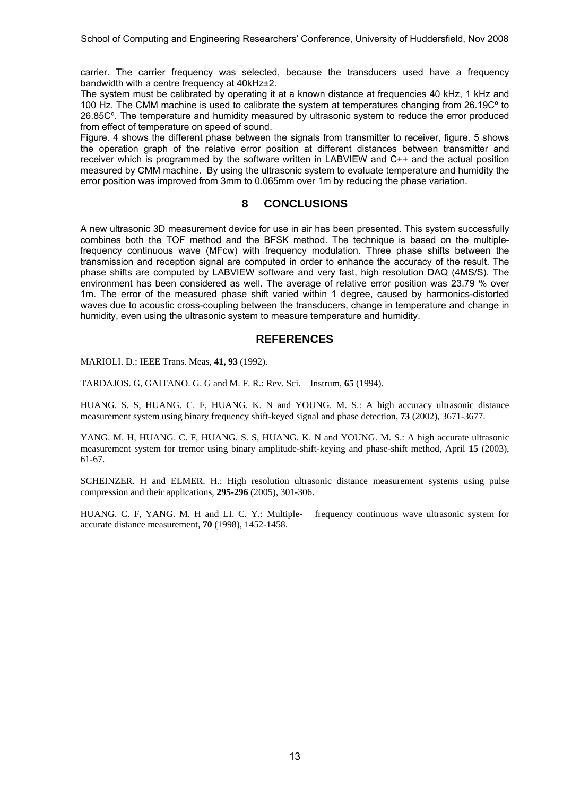carrier. The carrier frequency was selected, because the transducers used have a frequency bandwidth with a centre frequency at 40kHz±2.

The system must be calibrated by operating it at a known distance at frequencies 40 kHz, 1 kHz and 100 Hz. The CMM machine is used to calibrate the system at temperatures changing from 26.19Cº to 26.85Cº. The temperature and humidity measured by ultrasonic system to reduce the error produced from effect of temperature on speed of sound.

Figure. 4 shows the different phase between the signals from transmitter to receiver, figure. 5 shows the operation graph of the relative error position at different distances between transmitter and receiver which is programmed by the software written in LABVIEW and C++ and the actual position measured by CMM machine. By using the ultrasonic system to evaluate temperature and humidity the error position was improved from 3mm to 0.065mm over 1m by reducing the phase variation.

# **8 CONCLUSIONS**

A new ultrasonic 3D measurement device for use in air has been presented. This system successfully combines both the TOF method and the BFSK method. The technique is based on the multiplefrequency continuous wave (MFcw) with frequency modulation. Three phase shifts between the transmission and reception signal are computed in order to enhance the accuracy of the result. The phase shifts are computed by LABVIEW software and very fast, high resolution DAQ (4MS/S). The environment has been considered as well. The average of relative error position was 23.79 % over 1m. The error of the measured phase shift varied within 1 degree, caused by harmonics-distorted waves due to acoustic cross-coupling between the transducers, change in temperature and change in humidity, even using the ultrasonic system to measure temperature and humidity.

## **REFERENCES**

MARIOLI. D.: IEEE Trans. Meas, **41, 93** (1992).

TARDAJOS. G, GAITANO. G. G and M. F. R.: Rev. Sci. Instrum, **65** (1994).

HUANG. S. S, HUANG. C. F, HUANG. K. N and YOUNG. M. S.: A high accuracy ultrasonic distance measurement system using binary frequency shift-keyed signal and phase detection, **73** (2002), 3671-3677.

YANG. M. H, HUANG. C. F, HUANG. S. S, HUANG. K. N and YOUNG. M. S.: A high accurate ultrasonic measurement system for tremor using binary amplitude-shift-keying and phase-shift method, April **15** (2003), 61-67.

SCHEINZER. H and ELMER. H.: High resolution ultrasonic distance measurement systems using pulse compression and their applications, **295-296** (2005), 301-306.

HUANG. C. F, YANG. M. H and LI. C. Y.: Multiple- frequency continuous wave ultrasonic system for accurate distance measurement, **70** (1998), 1452-1458.